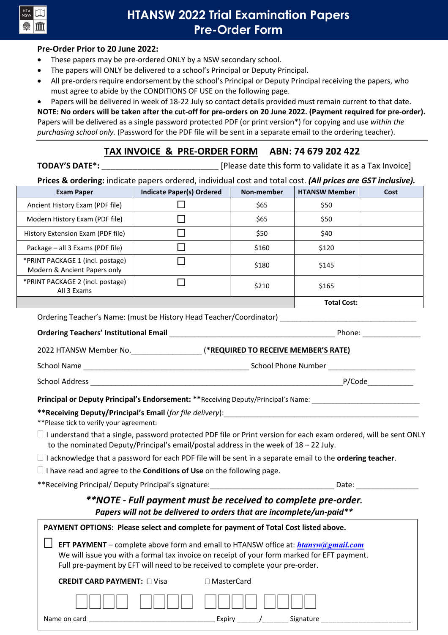

# **HTANSW 2022 Trial Examination Papers Pre-Order Form**

#### **Pre-Order Prior to 20 June 2022:**

- These papers may be pre-ordered ONLY by a NSW secondary school.
- The papers will ONLY be delivered to a school's Principal or Deputy Principal.
- All pre-orders require endorsement by the school's Principal or Deputy Principal receiving the papers, who must agree to abide by the CONDITIONS OF USE on the following page.

• Papers will be delivered in week of 18-22 July so contact details provided must remain current to that date. **NOTE: No orders will be taken after the cut-off for pre-orders on 20 June 2022. (Payment required for pre-order).** Papers will be delivered as a single password protected PDF (or print version\*) for copying and use *within the purchasing school only.* (Password for the PDF file will be sent in a separate email to the ordering teacher).

### **TAX INVOICE & PRE-ORDER FORM ABN: 74 679 202 422**

| <b>TODAY'S DATE*:</b> | [Please date this form to validate it as a Tax Invoice] |
|-----------------------|---------------------------------------------------------|
|                       | .                                                       |

| Prices & ordering: indicate papers ordered, individual cost and total cost. (All prices are GST inclusive). |  |  |                                                                                                                |  |
|-------------------------------------------------------------------------------------------------------------|--|--|----------------------------------------------------------------------------------------------------------------|--|
|                                                                                                             |  |  | 그 사람들은 그 사람들은 그 사람들은 그 사람들을 지르면 아이들이 아니라 아이들이 아니라 아이들이 아니라 아이들이 아니라 아이들이 아니라 아이들이 아니라 아이들이 아니라 아이들이 아니라 아이들이 아 |  |

| <b>Exam Paper</b>                                                | <b>Indicate Paper(s) Ordered</b> | Non-member | <b>HTANSW Member</b> | Cost |
|------------------------------------------------------------------|----------------------------------|------------|----------------------|------|
| Ancient History Exam (PDF file)                                  |                                  | \$65       | \$50                 |      |
| Modern History Exam (PDF file)                                   |                                  | \$65       | \$50                 |      |
| History Extension Exam (PDF file)                                |                                  | \$50       | \$40                 |      |
| Package – all 3 Exams (PDF file)                                 |                                  | \$160      | \$120                |      |
| *PRINT PACKAGE 1 (incl. postage)<br>Modern & Ancient Papers only |                                  | \$180      | \$145                |      |
| *PRINT PACKAGE 2 (incl. postage)<br>All 3 Exams                  |                                  | \$210      | \$165                |      |
|                                                                  |                                  |            | <b>Total Cost:</b>   |      |

Ordering Teacher's Name: (must be History Head Teacher/Coordinator) \_\_\_\_\_\_\_\_\_\_\_\_

#### **Ordering Teachers' Institutional Email and Security and Security Phone:** The Phone: Zeconomic Phone: Zeconomic Phone: Zeconomic Phone: Zeconomic Phone: Zeconomic Phone: Zeconomic Phone: Zeconomic Phone: Zeconomic Phone: Z

| 2022 HTANSW Member No. | (*REQUIRED TO RECEIVE MEMBER'S RATE) |
|------------------------|--------------------------------------|
| School Name            | School Phone Number                  |

School Address \_\_\_\_\_\_\_\_\_\_\_\_\_\_\_\_\_\_\_\_\_\_\_\_\_\_\_\_\_\_\_\_\_\_\_\_\_\_\_\_\_\_\_\_\_\_\_\_\_\_\_\_\_\_\_\_\_\_\_\_\_P/Code\_\_\_\_\_\_\_\_\_\_\_

**Principal or Deputy Principal's Endorsement: \*\***Receiving Deputy/Principal's Name:

\*\*Receiving Deputy/Principal's Email (for file delivery):

\*\*Please tick to verify your agreement:

 $\Box$  I understand that a single, password protected PDF file or Print version for each exam ordered, will be sent ONLY to the nominated Deputy/Principal's email/postal address in the week of 18 – 22 July.

I acknowledge that a password for each PDF file will be sent in a separate email to the **ordering teacher**.

I have read and agree to the **Conditions of Use** on the following page.

\*\*Receiving Principal/ Deputy Principal's signature: \_\_\_\_\_\_\_\_\_\_\_\_\_\_\_\_\_\_\_\_\_\_\_\_\_\_\_\_ Date:

### *\*\*NOTE - Full payment must be received to complete pre-order. Papers will not be delivered to orders that are incomplete/un-paid\*\**

| PAYMENT OPTIONS: Please select and complete for payment of Total Cost listed above.                                                                                                                                                                                     |                   |  |  |  |  |
|-------------------------------------------------------------------------------------------------------------------------------------------------------------------------------------------------------------------------------------------------------------------------|-------------------|--|--|--|--|
| EFT PAYMENT - complete above form and email to HTANSW office at: <i>htansw@gmail.com</i><br>We will issue you with a formal tax invoice on receipt of your form marked for EFT payment.<br>Full pre-payment by EFT will need to be received to complete your pre-order. |                   |  |  |  |  |
| <b>CREDIT CARD PAYMENT:</b> $\Box$ Visa                                                                                                                                                                                                                                 | $\Box$ MasterCard |  |  |  |  |
|                                                                                                                                                                                                                                                                         |                   |  |  |  |  |

| Name<br>. | .<br>- - | -<br>۱ν.<br>. . |  |
|-----------|----------|-----------------|--|
|           |          |                 |  |